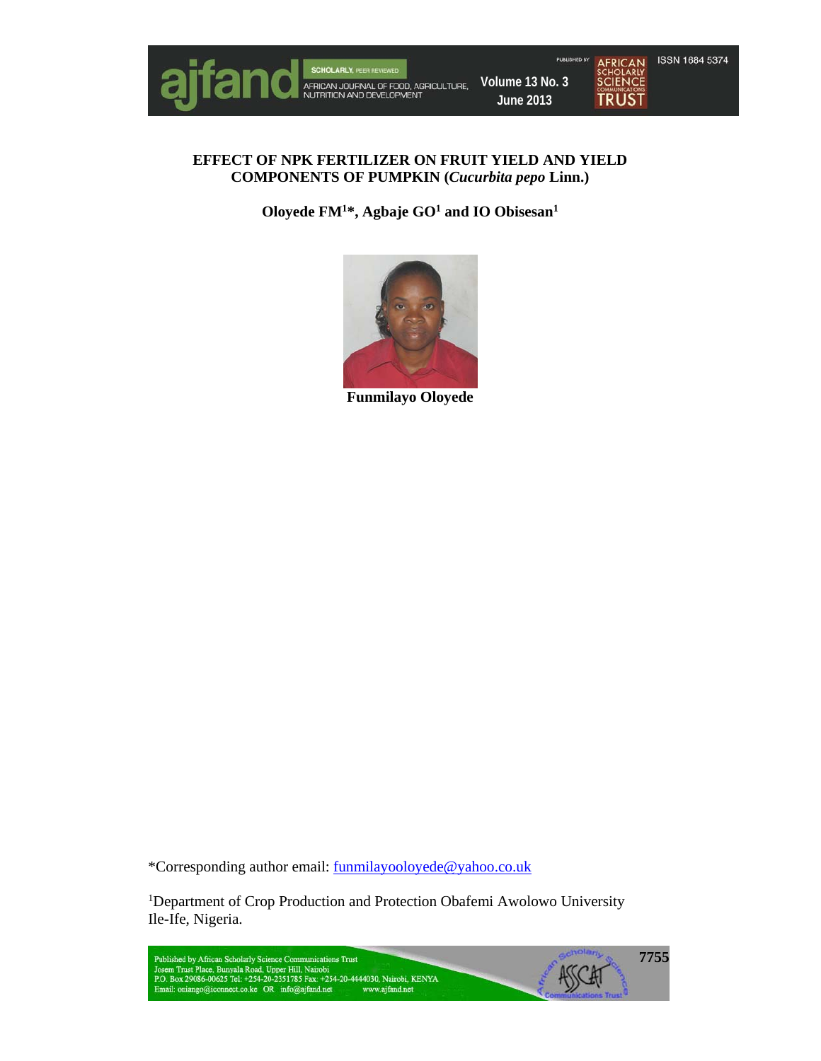

# **EFFECT OF NPK FERTILIZER ON FRUIT YIELD AND YIELD COMPONENTS OF PUMPKIN (***Cucurbita pepo* **Linn.)**

**Oloyede FM1\*, Agbaje GO1 and IO Obisesan1** 



**Funmilayo Oloyede** 

\*Corresponding author email: funmilayooloyede@yahoo.co.uk

<sup>1</sup>Department of Crop Production and Protection Obafemi Awolowo University Ile-Ife, Nigeria.

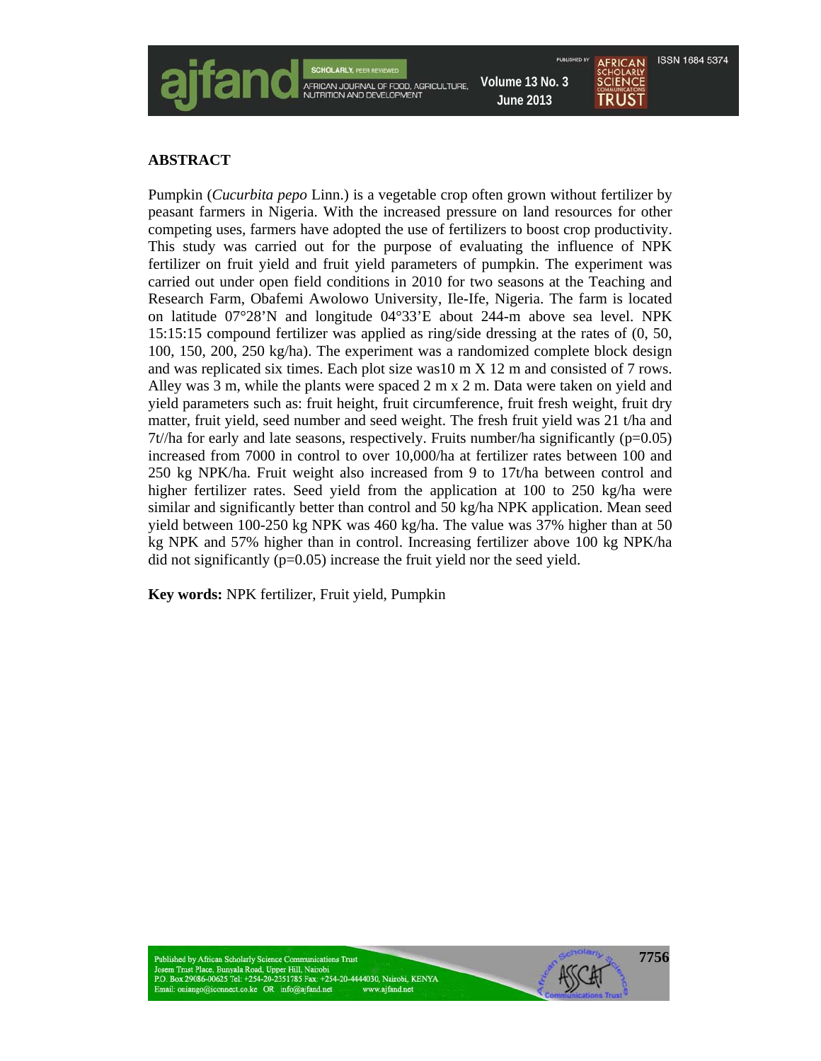

#### **ABSTRACT**

Pumpkin (*Cucurbita pepo* Linn.) is a vegetable crop often grown without fertilizer by peasant farmers in Nigeria. With the increased pressure on land resources for other competing uses, farmers have adopted the use of fertilizers to boost crop productivity. This study was carried out for the purpose of evaluating the influence of NPK fertilizer on fruit yield and fruit yield parameters of pumpkin. The experiment was carried out under open field conditions in 2010 for two seasons at the Teaching and Research Farm, Obafemi Awolowo University, Ile-Ife, Nigeria. The farm is located on latitude 07°28'N and longitude 04°33'E about 244-m above sea level. NPK 15:15:15 compound fertilizer was applied as ring/side dressing at the rates of (0, 50, 100, 150, 200, 250 kg/ha). The experiment was a randomized complete block design and was replicated six times. Each plot size was10 m X 12 m and consisted of 7 rows. Alley was 3 m, while the plants were spaced 2 m x 2 m. Data were taken on yield and yield parameters such as: fruit height, fruit circumference, fruit fresh weight, fruit dry matter, fruit yield, seed number and seed weight. The fresh fruit yield was 21 t/ha and  $7t/ha$  for early and late seasons, respectively. Fruits number/ha significantly ( $p=0.05$ ) increased from 7000 in control to over 10,000/ha at fertilizer rates between 100 and 250 kg NPK/ha. Fruit weight also increased from 9 to 17t/ha between control and higher fertilizer rates. Seed yield from the application at 100 to 250 kg/ha were similar and significantly better than control and 50 kg/ha NPK application. Mean seed yield between 100-250 kg NPK was 460 kg/ha. The value was 37% higher than at 50 kg NPK and 57% higher than in control. Increasing fertilizer above 100 kg NPK/ha did not significantly (p=0.05) increase the fruit yield nor the seed yield.

**7756**

**Key words:** NPK fertilizer, Fruit yield, Pumpkin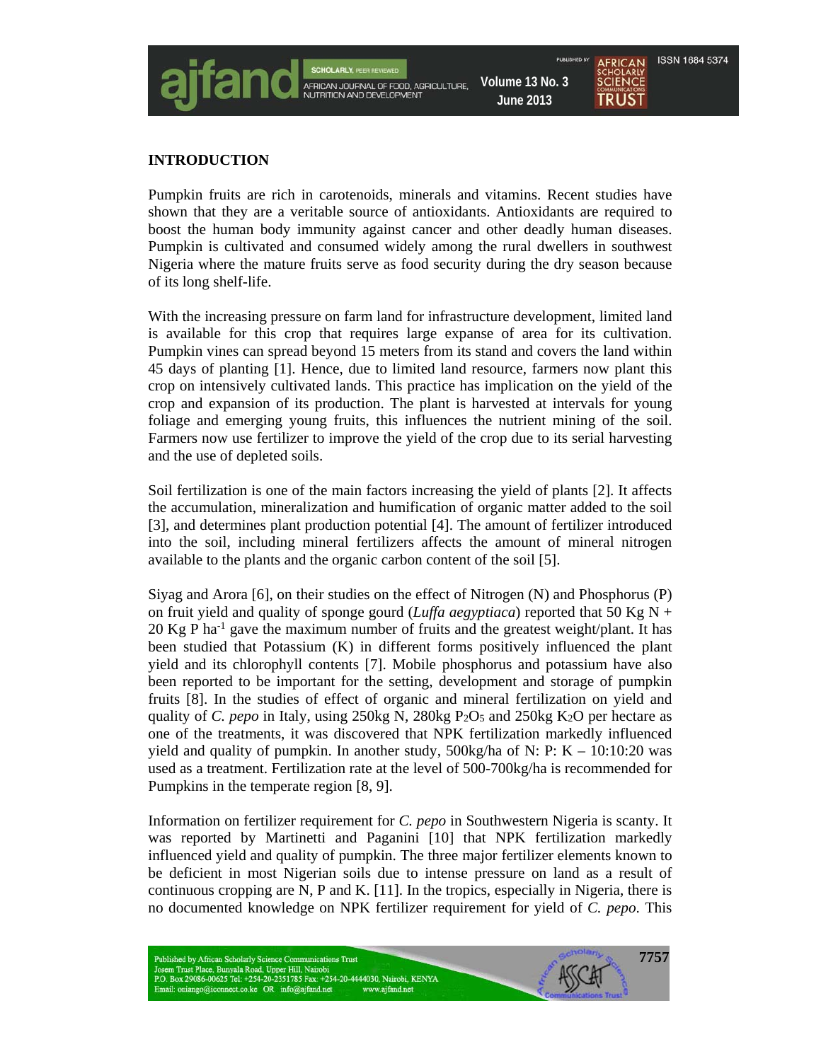

#### **INTRODUCTION**

Pumpkin fruits are rich in carotenoids, minerals and vitamins. Recent studies have shown that they are a veritable source of antioxidants. Antioxidants are required to boost the human body immunity against cancer and other deadly human diseases. Pumpkin is cultivated and consumed widely among the rural dwellers in southwest Nigeria where the mature fruits serve as food security during the dry season because of its long shelf-life.

With the increasing pressure on farm land for infrastructure development, limited land is available for this crop that requires large expanse of area for its cultivation. Pumpkin vines can spread beyond 15 meters from its stand and covers the land within 45 days of planting [1]. Hence, due to limited land resource, farmers now plant this crop on intensively cultivated lands. This practice has implication on the yield of the crop and expansion of its production. The plant is harvested at intervals for young foliage and emerging young fruits, this influences the nutrient mining of the soil. Farmers now use fertilizer to improve the yield of the crop due to its serial harvesting and the use of depleted soils.

Soil fertilization is one of the main factors increasing the yield of plants [2]. It affects the accumulation, mineralization and humification of organic matter added to the soil [3], and determines plant production potential [4]. The amount of fertilizer introduced into the soil, including mineral fertilizers affects the amount of mineral nitrogen available to the plants and the organic carbon content of the soil [5].

Siyag and Arora [6], on their studies on the effect of Nitrogen (N) and Phosphorus (P) on fruit yield and quality of sponge gourd (*Luffa aegyptiaca*) reported that 50 Kg N + 20 Kg P ha<sup>-1</sup> gave the maximum number of fruits and the greatest weight/plant. It has been studied that Potassium (K) in different forms positively influenced the plant yield and its chlorophyll contents [7]. Mobile phosphorus and potassium have also been reported to be important for the setting, development and storage of pumpkin fruits [8]. In the studies of effect of organic and mineral fertilization on yield and quality of *C. pepo* in Italy, using 250kg N, 280kg P2O5 and 250kg K2O per hectare as one of the treatments, it was discovered that NPK fertilization markedly influenced yield and quality of pumpkin. In another study,  $500 \text{kg/ha}$  of N: P: K – 10:10:20 was used as a treatment. Fertilization rate at the level of 500-700kg/ha is recommended for Pumpkins in the temperate region [8, 9].

Information on fertilizer requirement for *C. pepo* in Southwestern Nigeria is scanty. It was reported by Martinetti and Paganini [10] that NPK fertilization markedly influenced yield and quality of pumpkin. The three major fertilizer elements known to be deficient in most Nigerian soils due to intense pressure on land as a result of continuous cropping are N, P and K. [11]. In the tropics, especially in Nigeria, there is no documented knowledge on NPK fertilizer requirement for yield of *C. pepo*. This

**7757**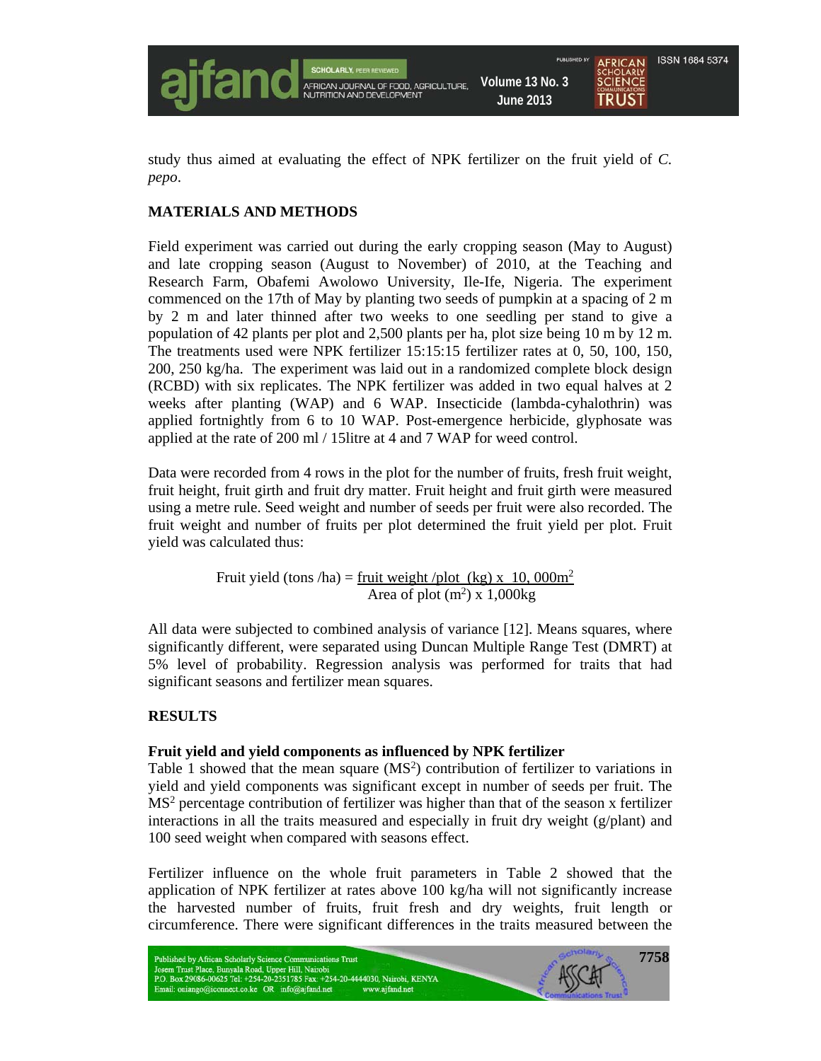

study thus aimed at evaluating the effect of NPK fertilizer on the fruit yield of *C. pepo*.

## **MATERIALS AND METHODS**

Field experiment was carried out during the early cropping season (May to August) and late cropping season (August to November) of 2010, at the Teaching and Research Farm, Obafemi Awolowo University, Ile-Ife, Nigeria. The experiment commenced on the 17th of May by planting two seeds of pumpkin at a spacing of 2 m by 2 m and later thinned after two weeks to one seedling per stand to give a population of 42 plants per plot and 2,500 plants per ha, plot size being 10 m by 12 m. The treatments used were NPK fertilizer 15:15:15 fertilizer rates at 0, 50, 100, 150, 200, 250 kg/ha. The experiment was laid out in a randomized complete block design (RCBD) with six replicates. The NPK fertilizer was added in two equal halves at 2 weeks after planting (WAP) and 6 WAP. Insecticide (lambda-cyhalothrin) was applied fortnightly from 6 to 10 WAP. Post-emergence herbicide, glyphosate was applied at the rate of 200 ml / 15litre at 4 and 7 WAP for weed control.

Data were recorded from 4 rows in the plot for the number of fruits, fresh fruit weight, fruit height, fruit girth and fruit dry matter. Fruit height and fruit girth were measured using a metre rule. Seed weight and number of seeds per fruit were also recorded. The fruit weight and number of fruits per plot determined the fruit yield per plot. Fruit yield was calculated thus:

Fruit yield (tons /ha) = <u>fruit weight /plot (kg) x 10,000m<sup>2</sup></u> Area of plot  $(m^2)$  x 1,000kg

All data were subjected to combined analysis of variance [12]. Means squares, where significantly different, were separated using Duncan Multiple Range Test (DMRT) at 5% level of probability. Regression analysis was performed for traits that had significant seasons and fertilizer mean squares.

## **RESULTS**

## **Fruit yield and yield components as influenced by NPK fertilizer**

Table 1 showed that the mean square  $(MS<sup>2</sup>)$  contribution of fertilizer to variations in yield and yield components was significant except in number of seeds per fruit. The MS<sup>2</sup> percentage contribution of fertilizer was higher than that of the season x fertilizer interactions in all the traits measured and especially in fruit dry weight  $(g/\text{plant})$  and 100 seed weight when compared with seasons effect.

Fertilizer influence on the whole fruit parameters in Table 2 showed that the application of NPK fertilizer at rates above 100 kg/ha will not significantly increase the harvested number of fruits, fruit fresh and dry weights, fruit length or circumference. There were significant differences in the traits measured between the

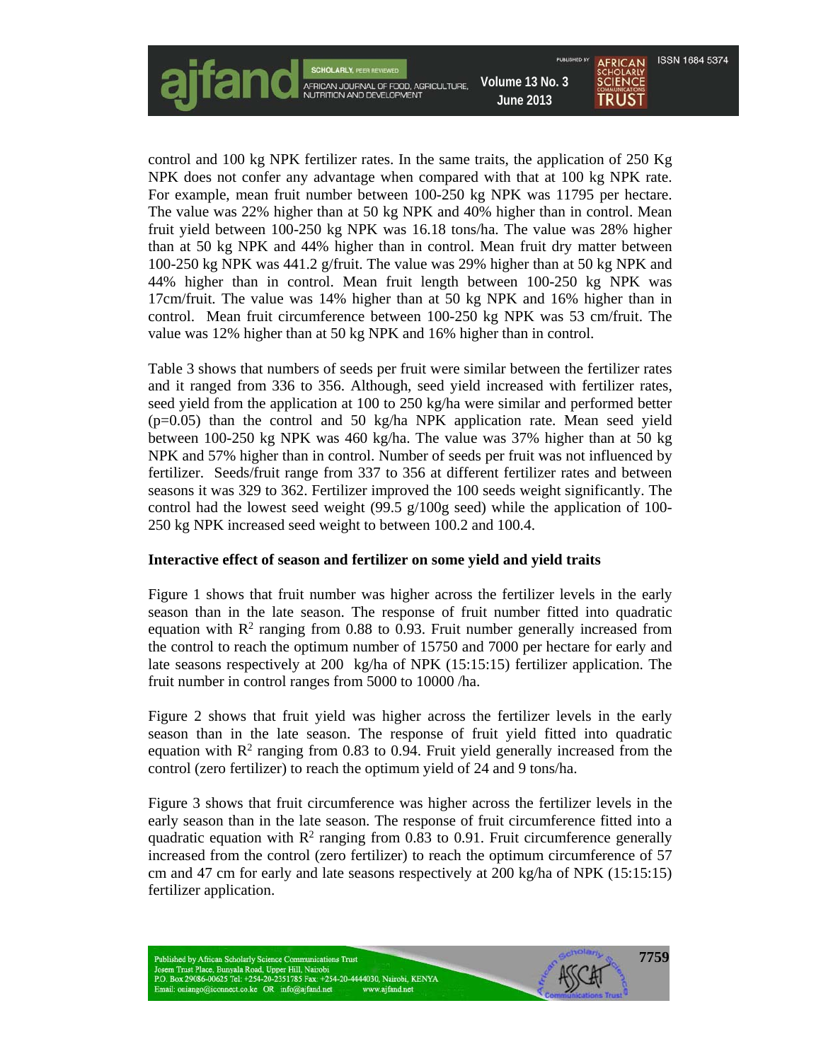control and 100 kg NPK fertilizer rates. In the same traits, the application of 250 Kg NPK does not confer any advantage when compared with that at 100 kg NPK rate. For example, mean fruit number between 100-250 kg NPK was 11795 per hectare. The value was 22% higher than at 50 kg NPK and 40% higher than in control. Mean fruit yield between 100-250 kg NPK was 16.18 tons/ha. The value was 28% higher than at 50 kg NPK and 44% higher than in control. Mean fruit dry matter between 100-250 kg NPK was 441.2 g/fruit. The value was 29% higher than at 50 kg NPK and 44% higher than in control. Mean fruit length between 100-250 kg NPK was 17cm/fruit. The value was 14% higher than at 50 kg NPK and 16% higher than in control. Mean fruit circumference between 100-250 kg NPK was 53 cm/fruit. The value was 12% higher than at 50 kg NPK and 16% higher than in control.

Table 3 shows that numbers of seeds per fruit were similar between the fertilizer rates and it ranged from 336 to 356. Although, seed yield increased with fertilizer rates, seed yield from the application at 100 to 250 kg/ha were similar and performed better  $(p=0.05)$  than the control and 50 kg/ha NPK application rate. Mean seed yield between 100-250 kg NPK was 460 kg/ha. The value was 37% higher than at 50 kg NPK and 57% higher than in control. Number of seeds per fruit was not influenced by fertilizer. Seeds/fruit range from 337 to 356 at different fertilizer rates and between seasons it was 329 to 362. Fertilizer improved the 100 seeds weight significantly. The control had the lowest seed weight (99.5  $g/100g$  seed) while the application of 100-250 kg NPK increased seed weight to between 100.2 and 100.4.

## **Interactive effect of season and fertilizer on some yield and yield traits**

Figure 1 shows that fruit number was higher across the fertilizer levels in the early season than in the late season. The response of fruit number fitted into quadratic equation with  $\mathbb{R}^2$  ranging from 0.88 to 0.93. Fruit number generally increased from the control to reach the optimum number of 15750 and 7000 per hectare for early and late seasons respectively at 200 kg/ha of NPK (15:15:15) fertilizer application. The fruit number in control ranges from 5000 to 10000 /ha.

Figure 2 shows that fruit yield was higher across the fertilizer levels in the early season than in the late season. The response of fruit yield fitted into quadratic equation with  $\mathbb{R}^2$  ranging from 0.83 to 0.94. Fruit yield generally increased from the control (zero fertilizer) to reach the optimum yield of 24 and 9 tons/ha.

Figure 3 shows that fruit circumference was higher across the fertilizer levels in the early season than in the late season. The response of fruit circumference fitted into a quadratic equation with  $\mathbb{R}^2$  ranging from 0.83 to 0.91. Fruit circumference generally increased from the control (zero fertilizer) to reach the optimum circumference of 57 cm and 47 cm for early and late seasons respectively at 200 kg/ha of NPK (15:15:15) fertilizer application.

**7759**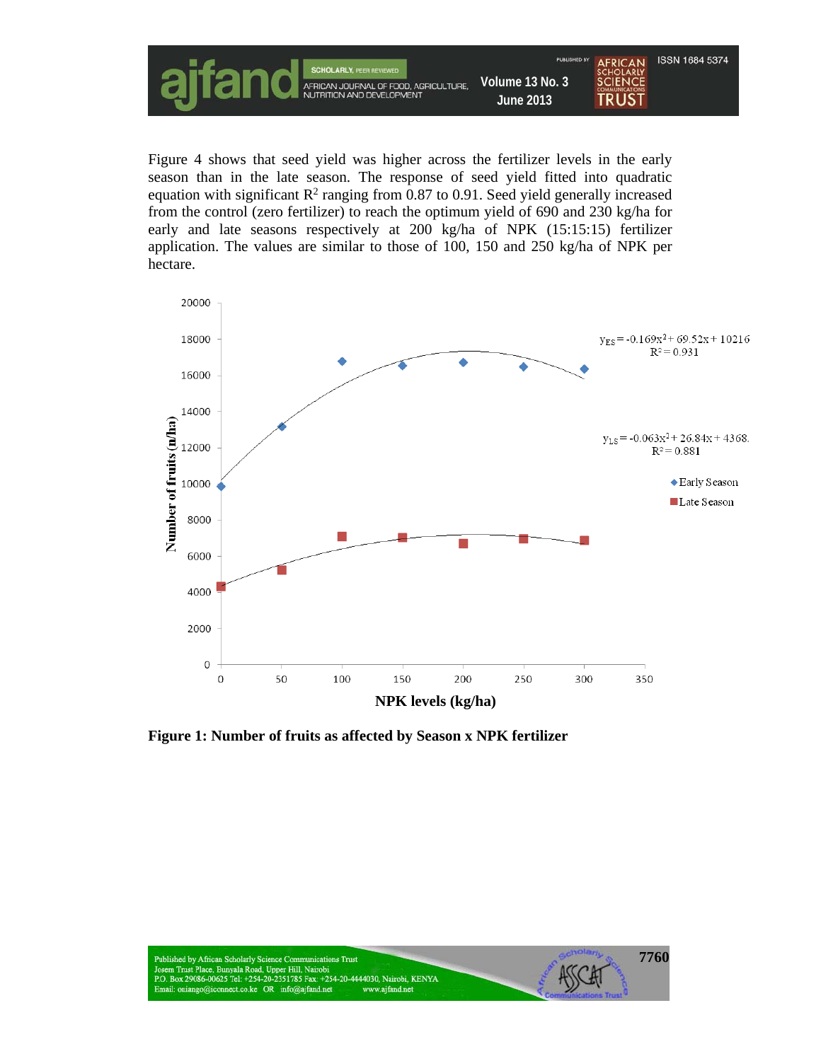

Figure 4 shows that seed yield was higher across the fertilizer levels in the early season than in the late season. The response of seed yield fitted into quadratic equation with significant  $\mathbb{R}^2$  ranging from 0.87 to 0.91. Seed yield generally increased from the control (zero fertilizer) to reach the optimum yield of 690 and 230 kg/ha for early and late seasons respectively at 200 kg/ha of NPK (15:15:15) fertilizer application. The values are similar to those of 100, 150 and 250 kg/ha of NPK per hectare.



**Figure 1: Number of fruits as affected by Season x NPK fertilizer**

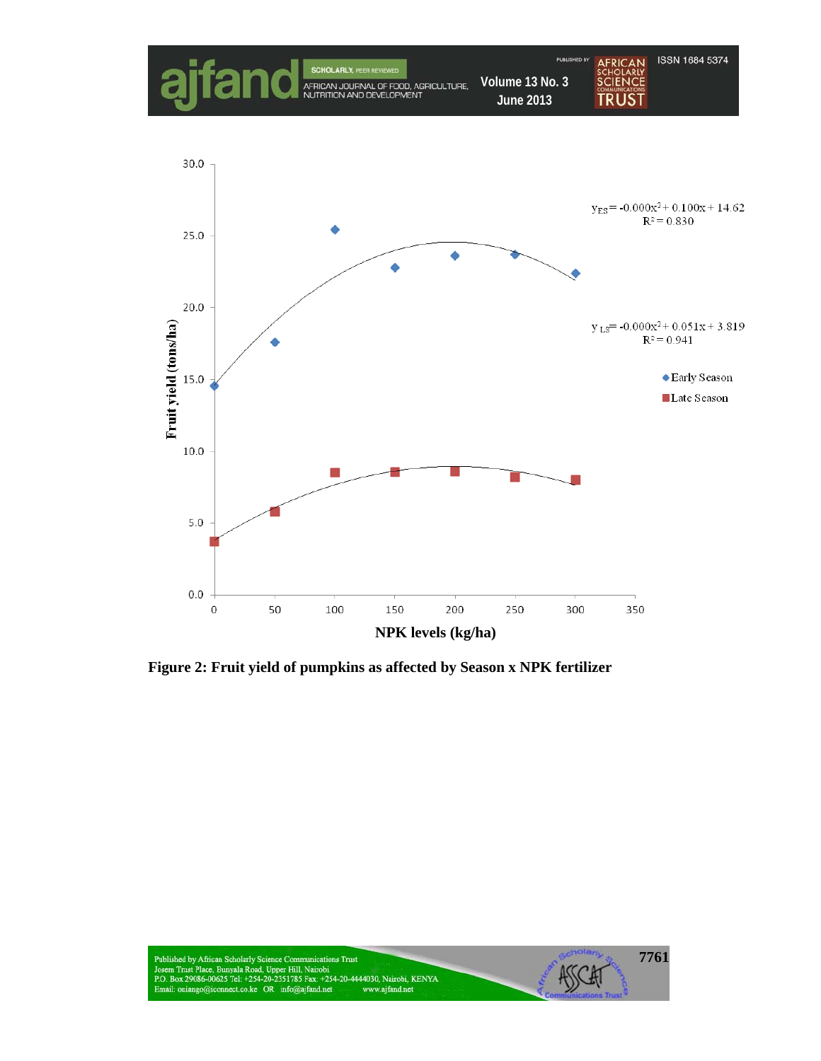

**Figure 2: Fruit yield of pumpkins as affected by Season x NPK fertilizer**

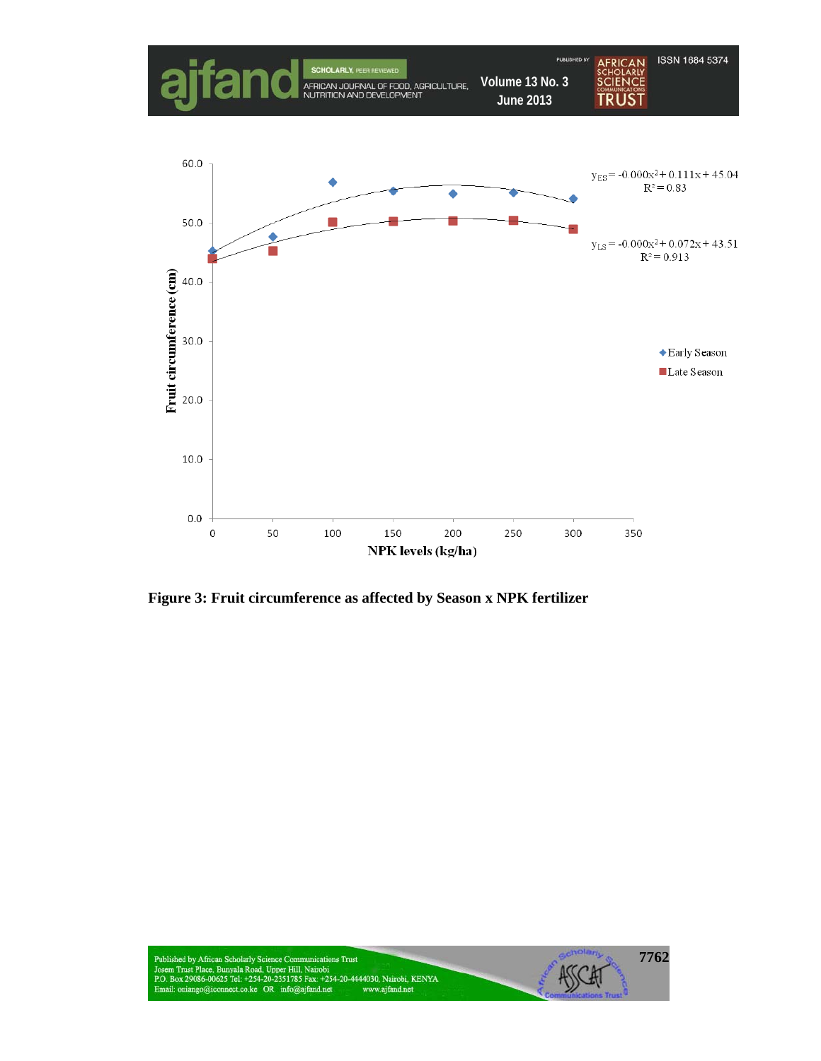

**Figure 3: Fruit circumference as affected by Season x NPK fertilizer**

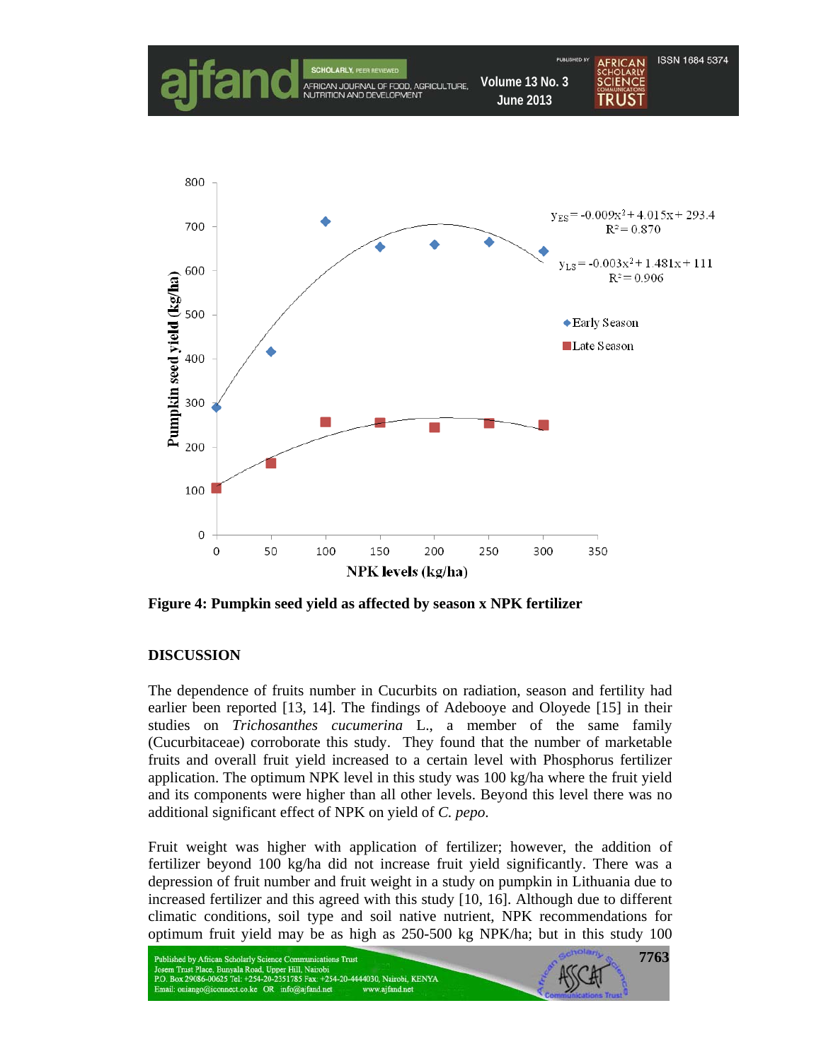

**Figure 4: Pumpkin seed yield as affected by season x NPK fertilizer** 

## **DISCUSSION**

The dependence of fruits number in Cucurbits on radiation, season and fertility had earlier been reported [13, 14]. The findings of Adebooye and Oloyede [15] in their studies on *Trichosanthes cucumerina* L., a member of the same family (Cucurbitaceae) corroborate this study. They found that the number of marketable fruits and overall fruit yield increased to a certain level with Phosphorus fertilizer application. The optimum NPK level in this study was 100 kg/ha where the fruit yield and its components were higher than all other levels. Beyond this level there was no additional significant effect of NPK on yield of *C. pepo*.

Fruit weight was higher with application of fertilizer; however, the addition of fertilizer beyond 100 kg/ha did not increase fruit yield significantly. There was a depression of fruit number and fruit weight in a study on pumpkin in Lithuania due to increased fertilizer and this agreed with this study [10, 16]. Although due to different climatic conditions, soil type and soil native nutrient, NPK recommendations for optimum fruit yield may be as high as 250-500 kg NPK/ha; but in this study 100

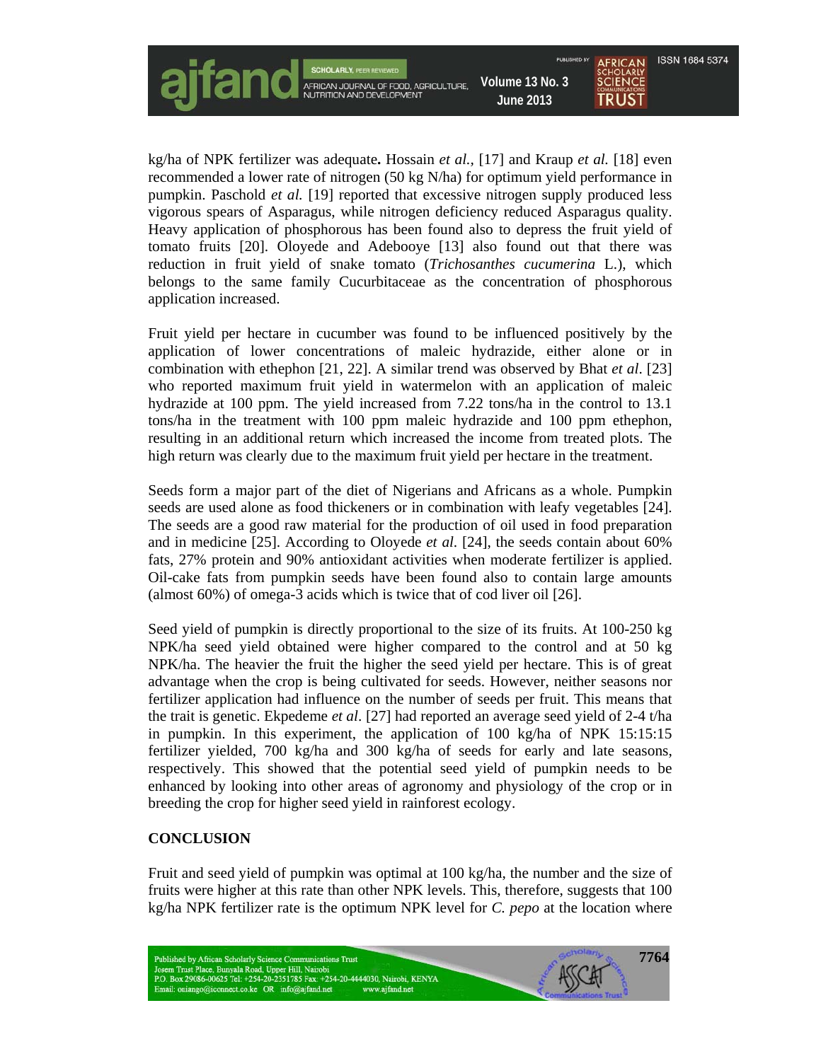

kg/ha of NPK fertilizer was adequate**.** Hossain *et al.,* [17] and Kraup *et al.* [18] even recommended a lower rate of nitrogen (50 kg N/ha) for optimum yield performance in pumpkin. Paschold *et al.* [19] reported that excessive nitrogen supply produced less vigorous spears of Asparagus, while nitrogen deficiency reduced Asparagus quality. Heavy application of phosphorous has been found also to depress the fruit yield of tomato fruits [20]. Oloyede and Adebooye [13] also found out that there was reduction in fruit yield of snake tomato (*Trichosanthes cucumerina* L.), which belongs to the same family Cucurbitaceae as the concentration of phosphorous application increased.

Fruit yield per hectare in cucumber was found to be influenced positively by the application of lower concentrations of maleic hydrazide, either alone or in combination with ethephon [21, 22]. A similar trend was observed by Bhat *et al*. [23] who reported maximum fruit yield in watermelon with an application of maleic hydrazide at 100 ppm. The yield increased from 7.22 tons/ha in the control to 13.1 tons/ha in the treatment with 100 ppm maleic hydrazide and 100 ppm ethephon, resulting in an additional return which increased the income from treated plots. The high return was clearly due to the maximum fruit yield per hectare in the treatment.

Seeds form a major part of the diet of Nigerians and Africans as a whole. Pumpkin seeds are used alone as food thickeners or in combination with leafy vegetables [24]. The seeds are a good raw material for the production of oil used in food preparation and in medicine [25]. According to Oloyede *et al*. [24], the seeds contain about 60% fats, 27% protein and 90% antioxidant activities when moderate fertilizer is applied. Oil-cake fats from pumpkin seeds have been found also to contain large amounts (almost 60%) of omega-3 acids which is twice that of cod liver oil [26].

Seed yield of pumpkin is directly proportional to the size of its fruits. At 100-250 kg NPK/ha seed yield obtained were higher compared to the control and at 50 kg NPK/ha. The heavier the fruit the higher the seed yield per hectare. This is of great advantage when the crop is being cultivated for seeds. However, neither seasons nor fertilizer application had influence on the number of seeds per fruit. This means that the trait is genetic. Ekpedeme *et al*. [27] had reported an average seed yield of 2-4 t/ha in pumpkin. In this experiment, the application of 100 kg/ha of NPK 15:15:15 fertilizer yielded, 700 kg/ha and 300 kg/ha of seeds for early and late seasons, respectively. This showed that the potential seed yield of pumpkin needs to be enhanced by looking into other areas of agronomy and physiology of the crop or in breeding the crop for higher seed yield in rainforest ecology.

## **CONCLUSION**

Fruit and seed yield of pumpkin was optimal at 100 kg/ha, the number and the size of fruits were higher at this rate than other NPK levels. This, therefore, suggests that 100 kg/ha NPK fertilizer rate is the optimum NPK level for *C. pepo* at the location where

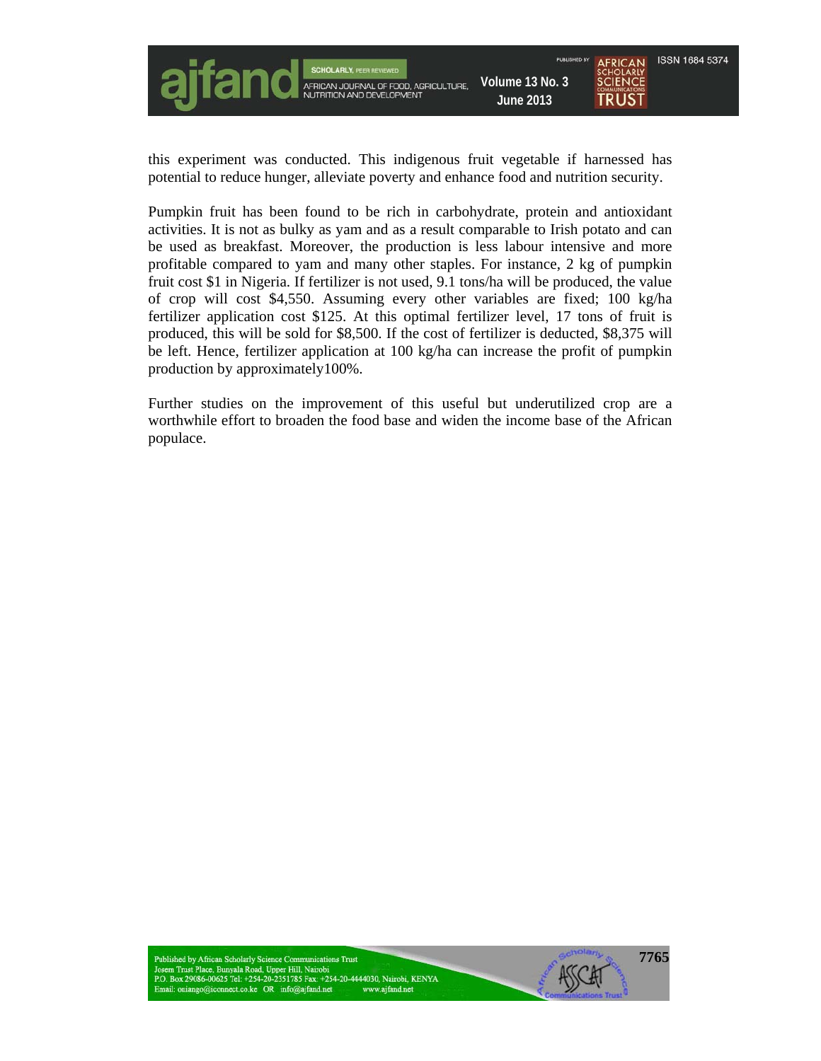

this experiment was conducted. This indigenous fruit vegetable if harnessed has potential to reduce hunger, alleviate poverty and enhance food and nutrition security.

Pumpkin fruit has been found to be rich in carbohydrate, protein and antioxidant activities. It is not as bulky as yam and as a result comparable to Irish potato and can be used as breakfast. Moreover, the production is less labour intensive and more profitable compared to yam and many other staples. For instance, 2 kg of pumpkin fruit cost \$1 in Nigeria. If fertilizer is not used, 9.1 tons/ha will be produced, the value of crop will cost \$4,550. Assuming every other variables are fixed; 100 kg/ha fertilizer application cost \$125. At this optimal fertilizer level, 17 tons of fruit is produced, this will be sold for \$8,500. If the cost of fertilizer is deducted, \$8,375 will be left. Hence, fertilizer application at 100 kg/ha can increase the profit of pumpkin production by approximately100%.

Further studies on the improvement of this useful but underutilized crop are a worthwhile effort to broaden the food base and widen the income base of the African populace.

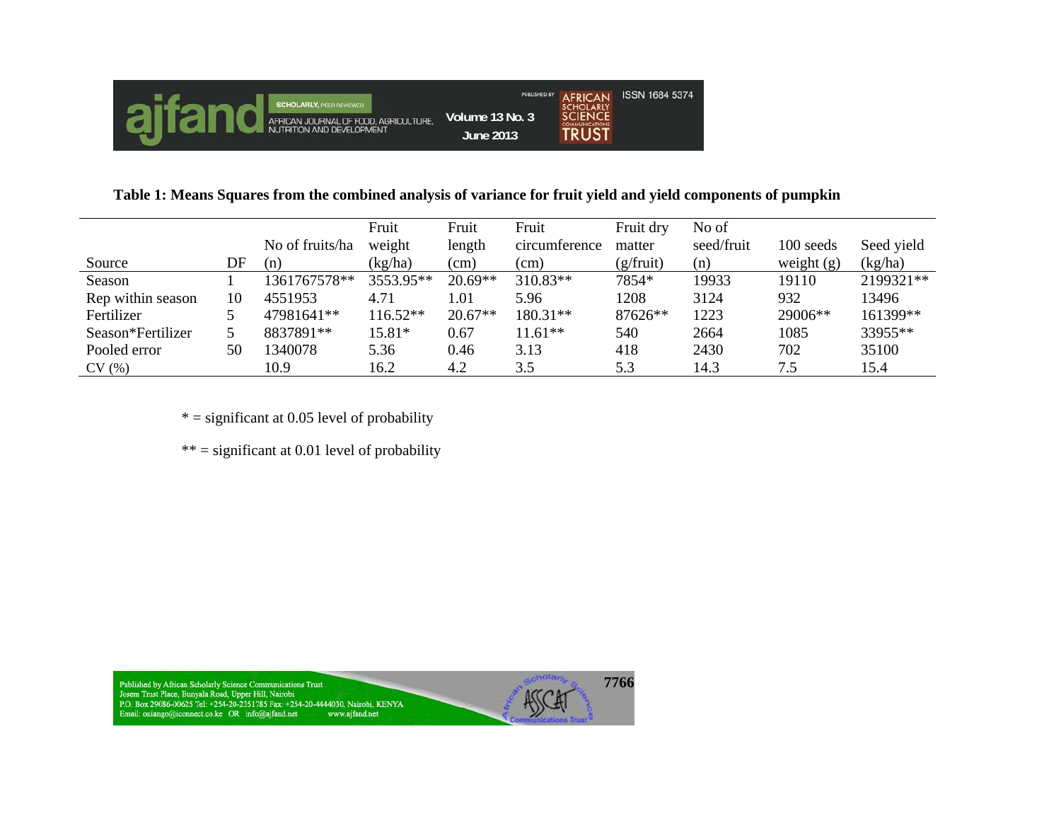

**Table 1: Means Squares from the combined analysis of variance for fruit yield and yield components of pumpkin** 

|                   |    |                 | Fruit      | Fruit     | Fruit         | Fruit dry          | No of      |              |            |
|-------------------|----|-----------------|------------|-----------|---------------|--------------------|------------|--------------|------------|
|                   |    | No of fruits/ha | weight     | length    | circumference | matter             | seed/fruit | 100 seeds    | Seed yield |
| Source            | DF | (n)             | (kg/ha)    | (cm)      | (cm)          | $(g/\text{fruit})$ | (n)        | weight $(g)$ | (kg/ha)    |
| Season            |    | 1361767578**    | 3553.95**  | $20.69**$ | 310.83**      | 7854*              | 19933      | 19110        | 2199321**  |
| Rep within season | 10 | 4551953         | 4.71       | 1.01      | 5.96          | 1208               | 3124       | 932          | 13496      |
| Fertilizer        |    | 47981641**      | $116.52**$ | $20.67**$ | 180.31**      | 87626**            | 1223       | 29006**      | 161399**   |
| Season*Fertilizer |    | 8837891**       | 15.81*     | 0.67      | $11.61**$     | 540                | 2664       | 1085         | 33955**    |
| Pooled error      | 50 | 1340078         | 5.36       | 0.46      | 3.13          | 418                | 2430       | 702          | 35100      |
| CV(%)             |    | 10.9            | 16.2       | 4.2       | 3.5           | 5.3                | 14.3       | 7.5          | 15.4       |

 $* =$  significant at 0.05 level of probability

 $***$  = significant at 0.01 level of probability

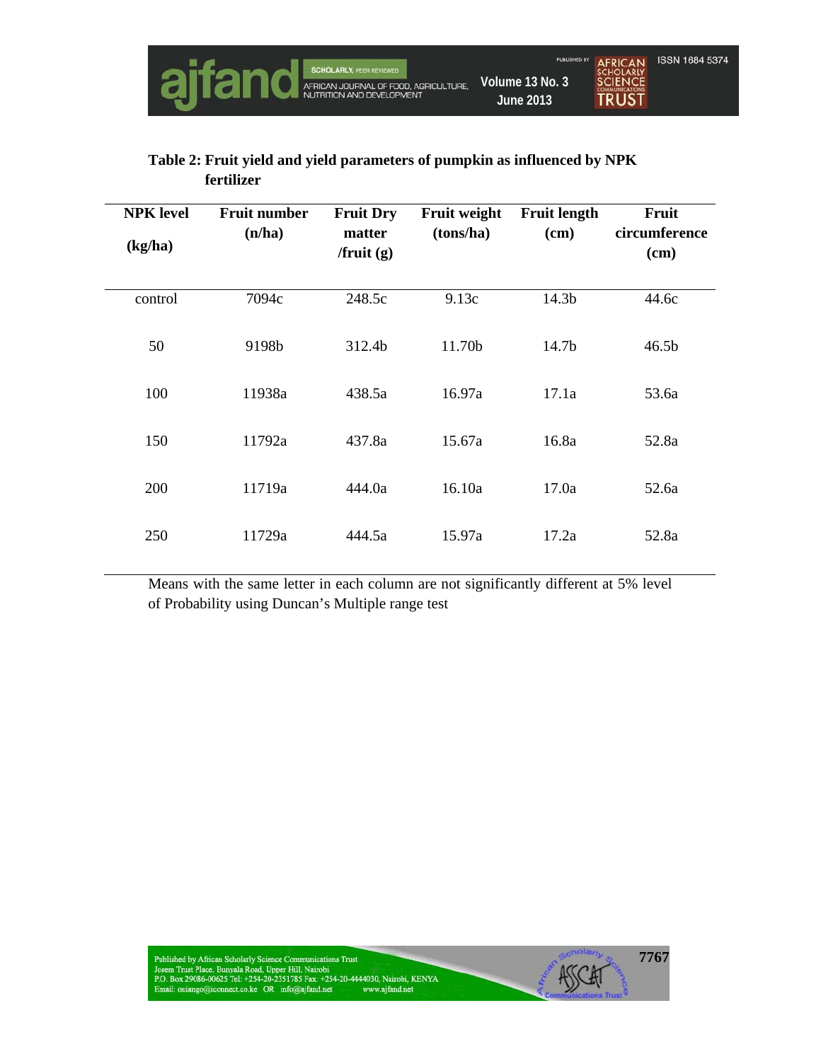

# **Table 2: Fruit yield and yield parameters of pumpkin as influenced by NPK fertilizer**

| <b>NPK</b> level<br>(kg/ha) | <b>Fruit number</b><br>(n/ha) | <b>Fruit Dry</b><br>matter<br>$/$ fruit $(g)$ | <b>Fruit weight</b><br>(tons/ha) | <b>Fruit length</b><br>(cm) | Fruit<br>circumference<br>(cm) |
|-----------------------------|-------------------------------|-----------------------------------------------|----------------------------------|-----------------------------|--------------------------------|
| control                     | 7094c                         | 248.5c                                        | 9.13c                            | 14.3b                       | 44.6c                          |
| 50                          | 9198b                         | 312.4b                                        | 11.70b                           | 14.7b                       | 46.5 <sub>b</sub>              |
| 100                         | 11938a                        | 438.5a                                        | 16.97a                           | 17.1a                       | 53.6a                          |
| 150                         | 11792a                        | 437.8a                                        | 15.67a                           | 16.8a                       | 52.8a                          |
| 200                         | 11719a                        | 444.0a                                        | 16.10a                           | 17.0a                       | 52.6a                          |
| 250                         | 11729a                        | 444.5a                                        | 15.97a                           | 17.2a                       | 52.8a                          |

Means with the same letter in each column are not significantly different at 5% level of Probability using Duncan's Multiple range test

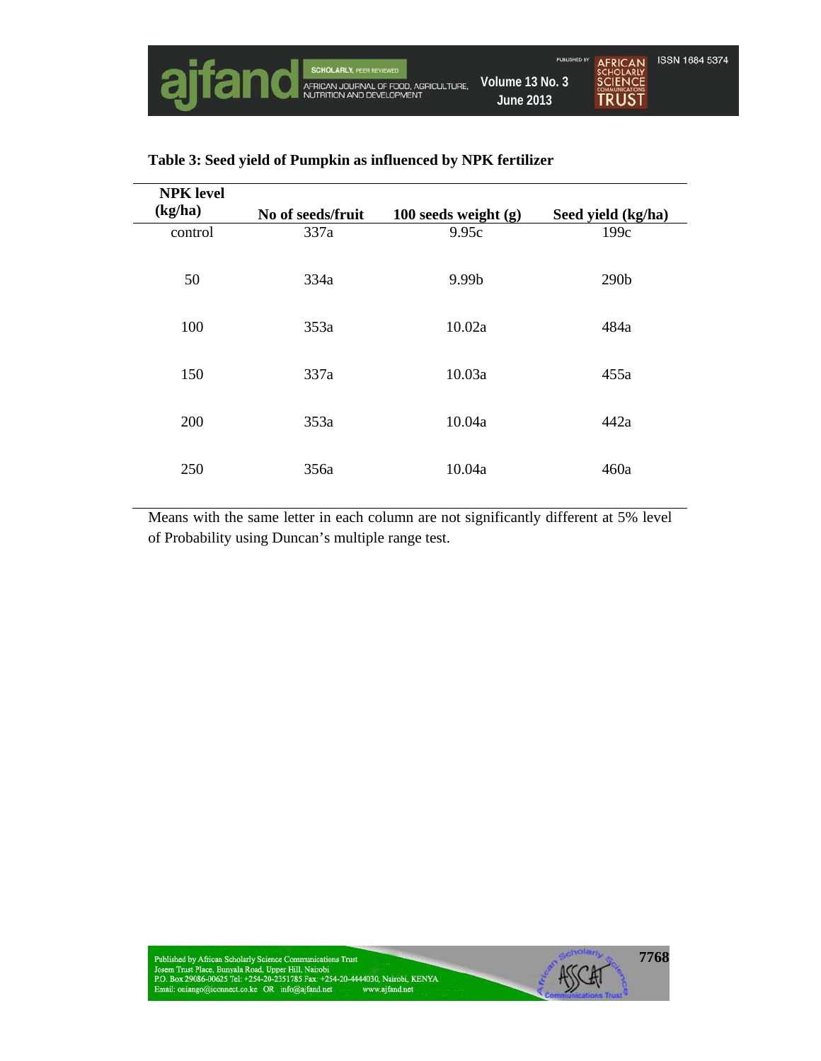| <b>NPK</b> level<br>(kg/ha) | No of seeds/fruit |                                 |                            |
|-----------------------------|-------------------|---------------------------------|----------------------------|
| control                     | 337a              | 100 seeds weight $(g)$<br>9.95c | Seed yield (kg/ha)<br>199c |
| 50                          | 334a              | 9.99b                           | 290 <sub>b</sub>           |
| 100                         | 353a              | 10.02a                          | 484a                       |
| 150                         | 337a              | 10.03a                          | 455a                       |
| 200                         | 353a              | 10.04a                          | 442a                       |
| 250                         | 356a              | 10.04a                          | 460a                       |

## **Table 3: Seed yield of Pumpkin as influenced by NPK fertilizer**

Means with the same letter in each column are not significantly different at 5% level of Probability using Duncan's multiple range test.

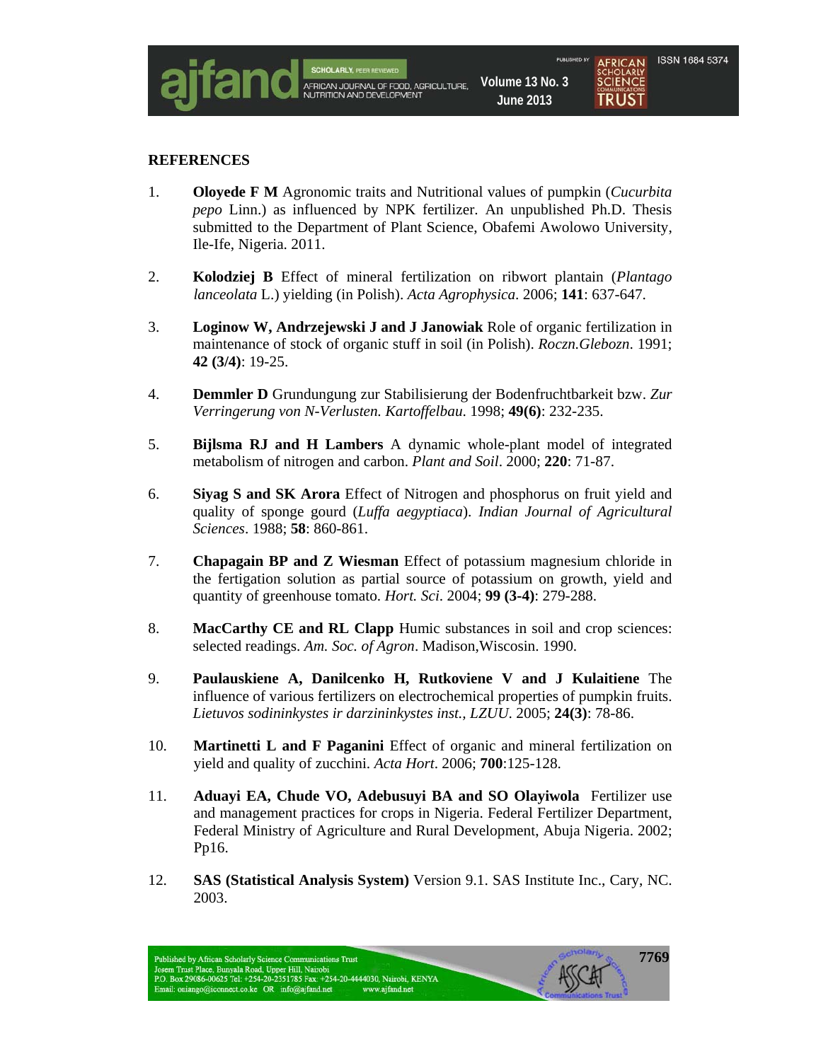

#### **REFERENCES**

- 1. **Oloyede F M** Agronomic traits and Nutritional values of pumpkin (*Cucurbita pepo* Linn.) as influenced by NPK fertilizer. An unpublished Ph.D. Thesis submitted to the Department of Plant Science, Obafemi Awolowo University, Ile-Ife, Nigeria. 2011.
- 2. **Kolodziej B** Effect of mineral fertilization on ribwort plantain (*Plantago lanceolata* L.) yielding (in Polish). *Acta Agrophysica*. 2006; **141**: 637-647.
- 3. **Loginow W, Andrzejewski J and J Janowiak** Role of organic fertilization in maintenance of stock of organic stuff in soil (in Polish). *Roczn.Glebozn*. 1991; **42 (3/4)**: 19-25.
- 4. **Demmler D** Grundungung zur Stabilisierung der Bodenfruchtbarkeit bzw. *Zur Verringerung von N-Verlusten. Kartoffelbau*. 1998; **49(6)**: 232-235.
- 5. **Bijlsma RJ and H Lambers** A dynamic whole-plant model of integrated metabolism of nitrogen and carbon. *Plant and Soil*. 2000; **220**: 71-87.
- 6. **Siyag S and SK Arora** Effect of Nitrogen and phosphorus on fruit yield and quality of sponge gourd (*Luffa aegyptiaca*). *Indian Journal of Agricultural Sciences*. 1988; **58**: 860-861.
- 7. **Chapagain BP and Z Wiesman** Effect of potassium magnesium chloride in the fertigation solution as partial source of potassium on growth, yield and quantity of greenhouse tomato. *Hort. Sci*. 2004; **99 (3-4)**: 279-288.
- 8. **MacCarthy CE and RL Clapp** Humic substances in soil and crop sciences: selected readings. *Am. Soc. of Agron*. Madison,Wiscosin. 1990.
- 9. **Paulauskiene A, Danilcenko H, Rutkoviene V and J Kulaitiene** The influence of various fertilizers on electrochemical properties of pumpkin fruits. *Lietuvos sodininkystes ir darzininkystes inst., LZUU*. 2005; **24(3)**: 78-86.
- 10. **Martinetti L and F Paganini** Effect of organic and mineral fertilization on yield and quality of zucchini. *Acta Hort*. 2006; **700**:125-128.
- 11. **Aduayi EA, Chude VO, Adebusuyi BA and SO Olayiwola** Fertilizer use and management practices for crops in Nigeria. Federal Fertilizer Department, Federal Ministry of Agriculture and Rural Development, Abuja Nigeria. 2002; Pp16.
- 12. **SAS (Statistical Analysis System)** Version 9.1. SAS Institute Inc., Cary, NC. 2003.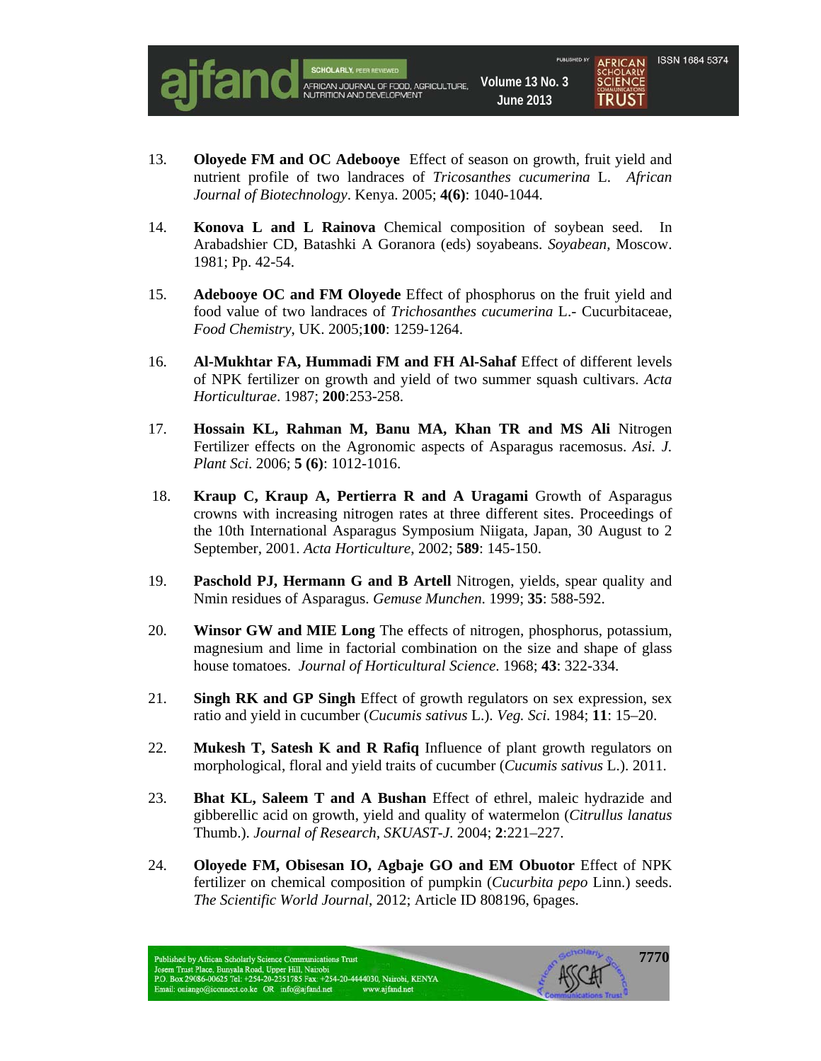

- 13. **Oloyede FM and OC Adebooye** Effect of season on growth, fruit yield and nutrient profile of two landraces of *Tricosanthes cucumerina* L. *African Journal of Biotechnology*. Kenya. 2005; **4(6)**: 1040-1044.
- 14. **Konova L and L Rainova** Chemical composition of soybean seed. In Arabadshier CD, Batashki A Goranora (eds) soyabeans. *Soyabean,* Moscow. 1981; Pp. 42-54.
- 15. **Adebooye OC and FM Oloyede** Effect of phosphorus on the fruit yield and food value of two landraces of *Trichosanthes cucumerina* L.- Cucurbitaceae, *Food Chemistry*, UK. 2005;**100**: 1259-1264.
- 16. **Al-Mukhtar FA, Hummadi FM and FH Al-Sahaf** Effect of different levels of NPK fertilizer on growth and yield of two summer squash cultivars. *Acta Horticulturae*. 1987; **200**:253-258.
- 17. **Hossain KL, Rahman M, Banu MA, Khan TR and MS Ali** Nitrogen Fertilizer effects on the Agronomic aspects of Asparagus racemosus. *Asi. J. Plant Sci*. 2006; **5 (6)**: 1012-1016.
- 18. **Kraup C, Kraup A, Pertierra R and A Uragami** Growth of Asparagus crowns with increasing nitrogen rates at three different sites. Proceedings of the 10th International Asparagus Symposium Niigata, Japan, 30 August to 2 September, 2001. *Acta Horticulture*, 2002; **589**: 145-150.
- 19. **Paschold PJ, Hermann G and B Artell** Nitrogen, yields, spear quality and Nmin residues of Asparagus. *Gemuse Munchen*. 1999; **35**: 588-592.
- 20. **Winsor GW and MIE Long** The effects of nitrogen, phosphorus, potassium, magnesium and lime in factorial combination on the size and shape of glass house tomatoes. *Journal of Horticultural Science*. 1968; **43**: 322-334.
- 21. **Singh RK and GP Singh** Effect of growth regulators on sex expression, sex ratio and yield in cucumber (*Cucumis sativus* L.). *Veg. Sci*. 1984; **11**: 15–20.
- 22. **Mukesh T, Satesh K and R Rafiq** Influence of plant growth regulators on morphological, floral and yield traits of cucumber (*Cucumis sativus* L.). 2011.
- 23. **Bhat KL, Saleem T and A Bushan** Effect of ethrel, maleic hydrazide and gibberellic acid on growth, yield and quality of watermelon (*Citrullus lanatus*  Thumb.). *Journal of Research, SKUAST-J*. 2004; **2**:221–227.
- 24. **Oloyede FM, Obisesan IO, Agbaje GO and EM Obuotor** Effect of NPK fertilizer on chemical composition of pumpkin (*Cucurbita pepo* Linn.) seeds. *The Scientific World Journal*, 2012; Article ID 808196, 6pages.

**7770**